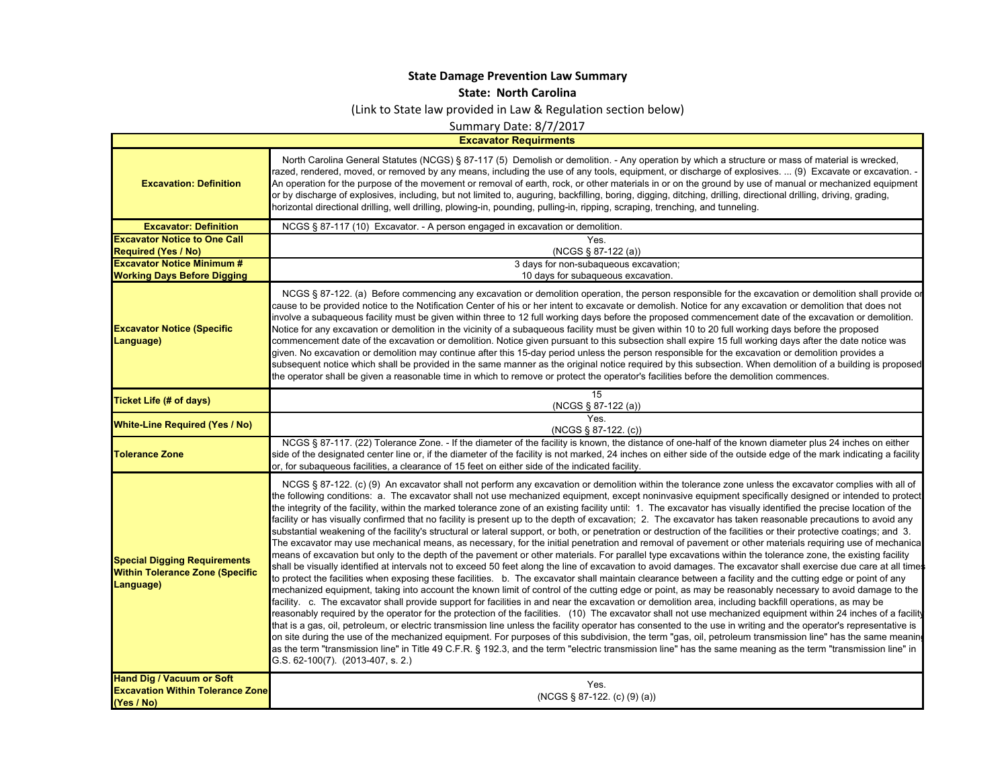## **State Damage Prevention Law Summary**

**State: North Carolina**

(Link to State law provided in Law & Regulation section below)

Summary Date: 8/7/2017

**Excavator Requirments**

 $\blacksquare$ 

| North Carolina General Statutes (NCGS) § 87-117 (5) Demolish or demolition. - Any operation by which a structure or mass of material is wrecked,<br>razed, rendered, moved, or removed by any means, including the use of any tools, equipment, or discharge of explosives.  (9) Excavate or excavation. -<br>An operation for the purpose of the movement or removal of earth, rock, or other materials in or on the ground by use of manual or mechanized equipment<br>or by discharge of explosives, including, but not limited to, auguring, backfilling, boring, digging, ditching, drilling, directional drilling, dirving, grading,<br>horizontal directional drilling, well drilling, plowing-in, pounding, pulling-in, ripping, scraping, trenching, and tunneling.                                                                                                                                                                                                                                                                                                                                                                                                                                                                                                                                                                                                                                                                                                                                                                                                                                                                                                                                                                                                                                                                                                                                                                                                                                                                                                                                                                                                                                                                                                                                                                                                                                                                                                                                                        |
|-------------------------------------------------------------------------------------------------------------------------------------------------------------------------------------------------------------------------------------------------------------------------------------------------------------------------------------------------------------------------------------------------------------------------------------------------------------------------------------------------------------------------------------------------------------------------------------------------------------------------------------------------------------------------------------------------------------------------------------------------------------------------------------------------------------------------------------------------------------------------------------------------------------------------------------------------------------------------------------------------------------------------------------------------------------------------------------------------------------------------------------------------------------------------------------------------------------------------------------------------------------------------------------------------------------------------------------------------------------------------------------------------------------------------------------------------------------------------------------------------------------------------------------------------------------------------------------------------------------------------------------------------------------------------------------------------------------------------------------------------------------------------------------------------------------------------------------------------------------------------------------------------------------------------------------------------------------------------------------------------------------------------------------------------------------------------------------------------------------------------------------------------------------------------------------------------------------------------------------------------------------------------------------------------------------------------------------------------------------------------------------------------------------------------------------------------------------------------------------------------------------------------------------|
| NCGS § 87-117 (10) Excavator. - A person engaged in excavation or demolition.                                                                                                                                                                                                                                                                                                                                                                                                                                                                                                                                                                                                                                                                                                                                                                                                                                                                                                                                                                                                                                                                                                                                                                                                                                                                                                                                                                                                                                                                                                                                                                                                                                                                                                                                                                                                                                                                                                                                                                                                                                                                                                                                                                                                                                                                                                                                                                                                                                                       |
| Yes.                                                                                                                                                                                                                                                                                                                                                                                                                                                                                                                                                                                                                                                                                                                                                                                                                                                                                                                                                                                                                                                                                                                                                                                                                                                                                                                                                                                                                                                                                                                                                                                                                                                                                                                                                                                                                                                                                                                                                                                                                                                                                                                                                                                                                                                                                                                                                                                                                                                                                                                                |
| (NCGS § 87-122 (a))                                                                                                                                                                                                                                                                                                                                                                                                                                                                                                                                                                                                                                                                                                                                                                                                                                                                                                                                                                                                                                                                                                                                                                                                                                                                                                                                                                                                                                                                                                                                                                                                                                                                                                                                                                                                                                                                                                                                                                                                                                                                                                                                                                                                                                                                                                                                                                                                                                                                                                                 |
| 3 days for non-subaqueous excavation;                                                                                                                                                                                                                                                                                                                                                                                                                                                                                                                                                                                                                                                                                                                                                                                                                                                                                                                                                                                                                                                                                                                                                                                                                                                                                                                                                                                                                                                                                                                                                                                                                                                                                                                                                                                                                                                                                                                                                                                                                                                                                                                                                                                                                                                                                                                                                                                                                                                                                               |
| 10 days for subaqueous excavation.                                                                                                                                                                                                                                                                                                                                                                                                                                                                                                                                                                                                                                                                                                                                                                                                                                                                                                                                                                                                                                                                                                                                                                                                                                                                                                                                                                                                                                                                                                                                                                                                                                                                                                                                                                                                                                                                                                                                                                                                                                                                                                                                                                                                                                                                                                                                                                                                                                                                                                  |
| NCGS § 87-122. (a) Before commencing any excavation or demolition operation, the person responsible for the excavation or demolition shall provide or<br>cause to be provided notice to the Notification Center of his or her intent to excavate or demolish. Notice for any excavation or demolition that does not<br>involve a subaqueous facility must be given within three to 12 full working days before the proposed commencement date of the excavation or demolition.<br>Notice for any excavation or demolition in the vicinity of a subaqueous facility must be given within 10 to 20 full working days before the proposed<br>commencement date of the excavation or demolition. Notice given pursuant to this subsection shall expire 15 full working days after the date notice was<br>given. No excavation or demolition may continue after this 15-day period unless the person responsible for the excavation or demolition provides a<br>subsequent notice which shall be provided in the same manner as the original notice required by this subsection. When demolition of a building is proposed<br>the operator shall be given a reasonable time in which to remove or protect the operator's facilities before the demolition commences.                                                                                                                                                                                                                                                                                                                                                                                                                                                                                                                                                                                                                                                                                                                                                                                                                                                                                                                                                                                                                                                                                                                                                                                                                                                                     |
| 15<br>(NCGS § 87-122 (a))                                                                                                                                                                                                                                                                                                                                                                                                                                                                                                                                                                                                                                                                                                                                                                                                                                                                                                                                                                                                                                                                                                                                                                                                                                                                                                                                                                                                                                                                                                                                                                                                                                                                                                                                                                                                                                                                                                                                                                                                                                                                                                                                                                                                                                                                                                                                                                                                                                                                                                           |
| Yes.<br>$(NGS \S 87-122. (c))$                                                                                                                                                                                                                                                                                                                                                                                                                                                                                                                                                                                                                                                                                                                                                                                                                                                                                                                                                                                                                                                                                                                                                                                                                                                                                                                                                                                                                                                                                                                                                                                                                                                                                                                                                                                                                                                                                                                                                                                                                                                                                                                                                                                                                                                                                                                                                                                                                                                                                                      |
| NCGS § 87-117. (22) Tolerance Zone. - If the diameter of the facility is known, the distance of one-half of the known diameter plus 24 inches on either<br>side of the designated center line or, if the diameter of the facility is not marked, 24 inches on either side of the outside edge of the mark indicating a facility<br>or, for subaqueous facilities, a clearance of 15 feet on either side of the indicated facility.                                                                                                                                                                                                                                                                                                                                                                                                                                                                                                                                                                                                                                                                                                                                                                                                                                                                                                                                                                                                                                                                                                                                                                                                                                                                                                                                                                                                                                                                                                                                                                                                                                                                                                                                                                                                                                                                                                                                                                                                                                                                                                  |
| NCGS § 87-122. (c) (9) An excavator shall not perform any excavation or demolition within the tolerance zone unless the excavator complies with all of<br>the following conditions: a. The excavator shall not use mechanized equipment, except noninvasive equipment specifically designed or intended to protect<br>the integrity of the facility, within the marked tolerance zone of an existing facility until: 1. The excavator has visually identified the precise location of the<br>facility or has visually confirmed that no facility is present up to the depth of excavation; 2. The excavator has taken reasonable precautions to avoid any<br>substantial weakening of the facility's structural or lateral support, or both, or penetration or destruction of the facilities or their protective coatings; and 3.<br>The excavator may use mechanical means, as necessary, for the initial penetration and removal of pavement or other materials requiring use of mechanica<br>means of excavation but only to the depth of the pavement or other materials. For parallel type excavations within the tolerance zone, the existing facility<br>shall be visually identified at intervals not to exceed 50 feet along the line of excavation to avoid damages. The excavator shall exercise due care at all times<br>to protect the facilities when exposing these facilities. b. The excavator shall maintain clearance between a facility and the cutting edge or point of any<br>mechanized equipment, taking into account the known limit of control of the cutting edge or point, as may be reasonably necessary to avoid damage to the<br>facility. c. The excavator shall provide support for facilities in and near the excavation or demolition area, including backfill operations, as may be<br>reasonably required by the operator for the protection of the facilities. (10) The excavator shall not use mechanized equipment within 24 inches of a facility<br>that is a gas, oil, petroleum, or electric transmission line unless the facility operator has consented to the use in writing and the operator's representative is<br>on site during the use of the mechanized equipment. For purposes of this subdivision, the term "gas, oil, petroleum transmission line" has the same meanin<br>as the term "transmission line" in Title 49 C.F.R. § 192.3, and the term "electric transmission line" has the same meaning as the term "transmission line" in<br>G.S. 62-100(7). (2013-407, s. 2.) |
| Yes.<br>$(NCGS \S 87-122. (c) (9) (a))$                                                                                                                                                                                                                                                                                                                                                                                                                                                                                                                                                                                                                                                                                                                                                                                                                                                                                                                                                                                                                                                                                                                                                                                                                                                                                                                                                                                                                                                                                                                                                                                                                                                                                                                                                                                                                                                                                                                                                                                                                                                                                                                                                                                                                                                                                                                                                                                                                                                                                             |
|                                                                                                                                                                                                                                                                                                                                                                                                                                                                                                                                                                                                                                                                                                                                                                                                                                                                                                                                                                                                                                                                                                                                                                                                                                                                                                                                                                                                                                                                                                                                                                                                                                                                                                                                                                                                                                                                                                                                                                                                                                                                                                                                                                                                                                                                                                                                                                                                                                                                                                                                     |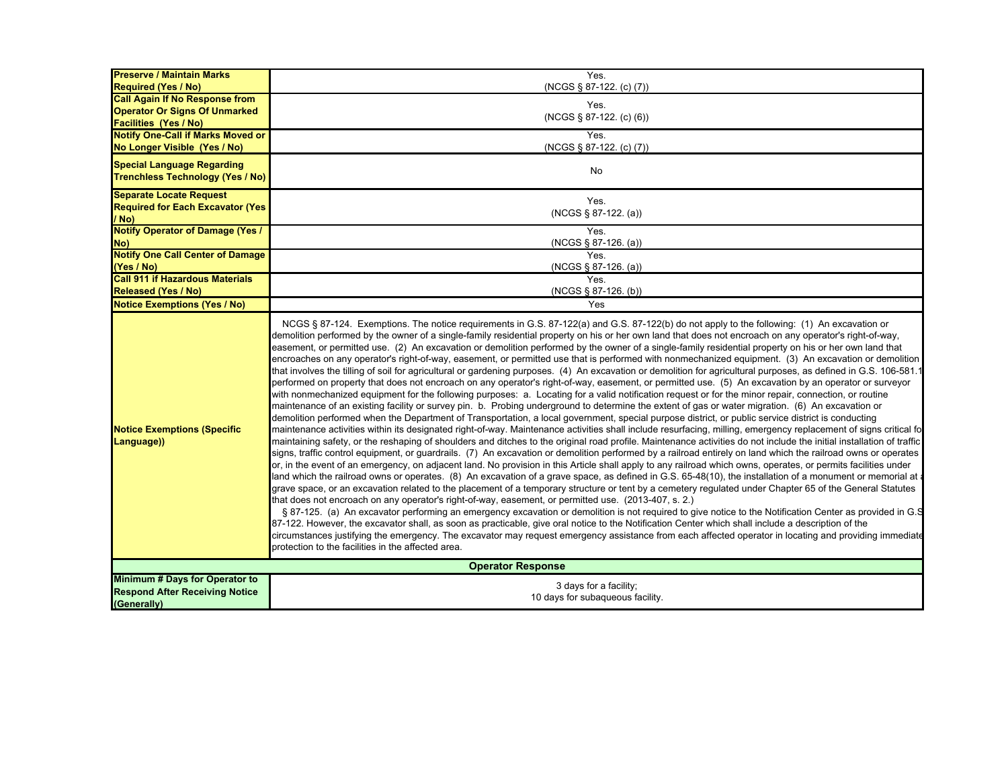| <b>Preserve / Maintain Marks</b><br><b>Required (Yes / No)</b>                                                | Yes.<br>(NCGS § 87-122. (c) (7))                                                                                                                                                                                                                                                                                                                                                                                                                                                                                                                                                                                                                                                                                                                                                                                                                                                                                                                                                                                                                                                                                                                                                                                                                                                                                                                                                                                                                                                                                                                                                                                                                                                                                                                                                                                                                                                                                                                                                                                                                                                                                                                                                                                                                                                                                                                                                                                                                                                                                                                                                                                                                                                                                                                                                                                                                                                                                                                                                                                                                                               |
|---------------------------------------------------------------------------------------------------------------|--------------------------------------------------------------------------------------------------------------------------------------------------------------------------------------------------------------------------------------------------------------------------------------------------------------------------------------------------------------------------------------------------------------------------------------------------------------------------------------------------------------------------------------------------------------------------------------------------------------------------------------------------------------------------------------------------------------------------------------------------------------------------------------------------------------------------------------------------------------------------------------------------------------------------------------------------------------------------------------------------------------------------------------------------------------------------------------------------------------------------------------------------------------------------------------------------------------------------------------------------------------------------------------------------------------------------------------------------------------------------------------------------------------------------------------------------------------------------------------------------------------------------------------------------------------------------------------------------------------------------------------------------------------------------------------------------------------------------------------------------------------------------------------------------------------------------------------------------------------------------------------------------------------------------------------------------------------------------------------------------------------------------------------------------------------------------------------------------------------------------------------------------------------------------------------------------------------------------------------------------------------------------------------------------------------------------------------------------------------------------------------------------------------------------------------------------------------------------------------------------------------------------------------------------------------------------------------------------------------------------------------------------------------------------------------------------------------------------------------------------------------------------------------------------------------------------------------------------------------------------------------------------------------------------------------------------------------------------------------------------------------------------------------------------------------------------------|
| <b>Call Again If No Response from</b><br><b>Operator Or Signs Of Unmarked</b><br><b>Facilities (Yes / No)</b> | Yes.<br>$(NCGS \S 87-122. (c) (6))$                                                                                                                                                                                                                                                                                                                                                                                                                                                                                                                                                                                                                                                                                                                                                                                                                                                                                                                                                                                                                                                                                                                                                                                                                                                                                                                                                                                                                                                                                                                                                                                                                                                                                                                                                                                                                                                                                                                                                                                                                                                                                                                                                                                                                                                                                                                                                                                                                                                                                                                                                                                                                                                                                                                                                                                                                                                                                                                                                                                                                                            |
| <b>Notify One-Call if Marks Moved or</b><br>No Longer Visible (Yes / No)                                      | Yes.<br>(NCGS § 87-122. (c) (7))                                                                                                                                                                                                                                                                                                                                                                                                                                                                                                                                                                                                                                                                                                                                                                                                                                                                                                                                                                                                                                                                                                                                                                                                                                                                                                                                                                                                                                                                                                                                                                                                                                                                                                                                                                                                                                                                                                                                                                                                                                                                                                                                                                                                                                                                                                                                                                                                                                                                                                                                                                                                                                                                                                                                                                                                                                                                                                                                                                                                                                               |
| <b>Special Language Regarding</b><br><b>Trenchless Technology (Yes / No)</b>                                  | No                                                                                                                                                                                                                                                                                                                                                                                                                                                                                                                                                                                                                                                                                                                                                                                                                                                                                                                                                                                                                                                                                                                                                                                                                                                                                                                                                                                                                                                                                                                                                                                                                                                                                                                                                                                                                                                                                                                                                                                                                                                                                                                                                                                                                                                                                                                                                                                                                                                                                                                                                                                                                                                                                                                                                                                                                                                                                                                                                                                                                                                                             |
| <b>Separate Locate Request</b><br><b>Required for Each Excavator (Yes)</b><br>/ No)                           | Yes.<br>$(NGS \S 87-122. (a))$                                                                                                                                                                                                                                                                                                                                                                                                                                                                                                                                                                                                                                                                                                                                                                                                                                                                                                                                                                                                                                                                                                                                                                                                                                                                                                                                                                                                                                                                                                                                                                                                                                                                                                                                                                                                                                                                                                                                                                                                                                                                                                                                                                                                                                                                                                                                                                                                                                                                                                                                                                                                                                                                                                                                                                                                                                                                                                                                                                                                                                                 |
| <b>Notify Operator of Damage (Yes /</b><br>No)                                                                | Yes.<br>$(NCGS \S 87-126. (a))$                                                                                                                                                                                                                                                                                                                                                                                                                                                                                                                                                                                                                                                                                                                                                                                                                                                                                                                                                                                                                                                                                                                                                                                                                                                                                                                                                                                                                                                                                                                                                                                                                                                                                                                                                                                                                                                                                                                                                                                                                                                                                                                                                                                                                                                                                                                                                                                                                                                                                                                                                                                                                                                                                                                                                                                                                                                                                                                                                                                                                                                |
| <b>Notify One Call Center of Damage</b><br>(Yes / No)                                                         | Yes.<br>(NCGS § 87-126. (a))                                                                                                                                                                                                                                                                                                                                                                                                                                                                                                                                                                                                                                                                                                                                                                                                                                                                                                                                                                                                                                                                                                                                                                                                                                                                                                                                                                                                                                                                                                                                                                                                                                                                                                                                                                                                                                                                                                                                                                                                                                                                                                                                                                                                                                                                                                                                                                                                                                                                                                                                                                                                                                                                                                                                                                                                                                                                                                                                                                                                                                                   |
| <b>Call 911 if Hazardous Materials</b><br><b>Released (Yes / No)</b>                                          | <b>Yes</b>                                                                                                                                                                                                                                                                                                                                                                                                                                                                                                                                                                                                                                                                                                                                                                                                                                                                                                                                                                                                                                                                                                                                                                                                                                                                                                                                                                                                                                                                                                                                                                                                                                                                                                                                                                                                                                                                                                                                                                                                                                                                                                                                                                                                                                                                                                                                                                                                                                                                                                                                                                                                                                                                                                                                                                                                                                                                                                                                                                                                                                                                     |
| <b>Notice Exemptions (Yes / No)</b>                                                                           | $(NCGS \S 87-126. (b))$<br>Yes                                                                                                                                                                                                                                                                                                                                                                                                                                                                                                                                                                                                                                                                                                                                                                                                                                                                                                                                                                                                                                                                                                                                                                                                                                                                                                                                                                                                                                                                                                                                                                                                                                                                                                                                                                                                                                                                                                                                                                                                                                                                                                                                                                                                                                                                                                                                                                                                                                                                                                                                                                                                                                                                                                                                                                                                                                                                                                                                                                                                                                                 |
| <b>Notice Exemptions (Specific</b><br>Language))                                                              | NCGS § 87-124. Exemptions. The notice requirements in G.S. 87-122(a) and G.S. 87-122(b) do not apply to the following: (1) An excavation or<br>demolition performed by the owner of a single-family residential property on his or her own land that does not encroach on any operator's right-of-way,<br>easement, or permitted use. (2) An excavation or demolition performed by the owner of a single-family residential property on his or her own land that<br>encroaches on any operator's right-of-way, easement, or permitted use that is performed with nonmechanized equipment. (3) An excavation or demolition<br>that involves the tilling of soil for agricultural or gardening purposes. (4) An excavation or demolition for agricultural purposes, as defined in G.S. 106-581.1<br>performed on property that does not encroach on any operator's right-of-way, easement, or permitted use. (5) An excavation by an operator or surveyor<br>with nonmechanized equipment for the following purposes: a. Locating for a valid notification request or for the minor repair, connection, or routine<br>maintenance of an existing facility or survey pin. b. Probing underground to determine the extent of gas or water migration. (6) An excavation or<br>demolition performed when the Department of Transportation, a local government, special purpose district, or public service district is conducting<br>maintenance activities within its designated right-of-way. Maintenance activities shall include resurfacing, milling, emergency replacement of signs critical fo<br>maintaining safety, or the reshaping of shoulders and ditches to the original road profile. Maintenance activities do not include the initial installation of traffic<br>signs, traffic control equipment, or guardrails. (7) An excavation or demolition performed by a railroad entirely on land which the railroad owns or operates<br>or, in the event of an emergency, on adjacent land. No provision in this Article shall apply to any railroad which owns, operates, or permits facilities under<br>land which the railroad owns or operates. (8) An excavation of a grave space, as defined in G.S. 65-48(10), the installation of a monument or memorial at<br>grave space, or an excavation related to the placement of a temporary structure or tent by a cemetery regulated under Chapter 65 of the General Statutes<br>that does not encroach on any operator's right-of-way, easement, or permitted use. (2013-407, s. 2.)<br>§ 87-125. (a) An excavator performing an emergency excavation or demolition is not required to give notice to the Notification Center as provided in G.S<br>87-122. However, the excavator shall, as soon as practicable, give oral notice to the Notification Center which shall include a description of the<br>circumstances justifying the emergency. The excavator may request emergency assistance from each affected operator in locating and providing immediate<br>protection to the facilities in the affected area. |
|                                                                                                               | <b>Operator Response</b>                                                                                                                                                                                                                                                                                                                                                                                                                                                                                                                                                                                                                                                                                                                                                                                                                                                                                                                                                                                                                                                                                                                                                                                                                                                                                                                                                                                                                                                                                                                                                                                                                                                                                                                                                                                                                                                                                                                                                                                                                                                                                                                                                                                                                                                                                                                                                                                                                                                                                                                                                                                                                                                                                                                                                                                                                                                                                                                                                                                                                                                       |
| Minimum # Days for Operator to<br><b>Respond After Receiving Notice</b><br>(Generally)                        | 3 days for a facility;<br>10 days for subaqueous facility.                                                                                                                                                                                                                                                                                                                                                                                                                                                                                                                                                                                                                                                                                                                                                                                                                                                                                                                                                                                                                                                                                                                                                                                                                                                                                                                                                                                                                                                                                                                                                                                                                                                                                                                                                                                                                                                                                                                                                                                                                                                                                                                                                                                                                                                                                                                                                                                                                                                                                                                                                                                                                                                                                                                                                                                                                                                                                                                                                                                                                     |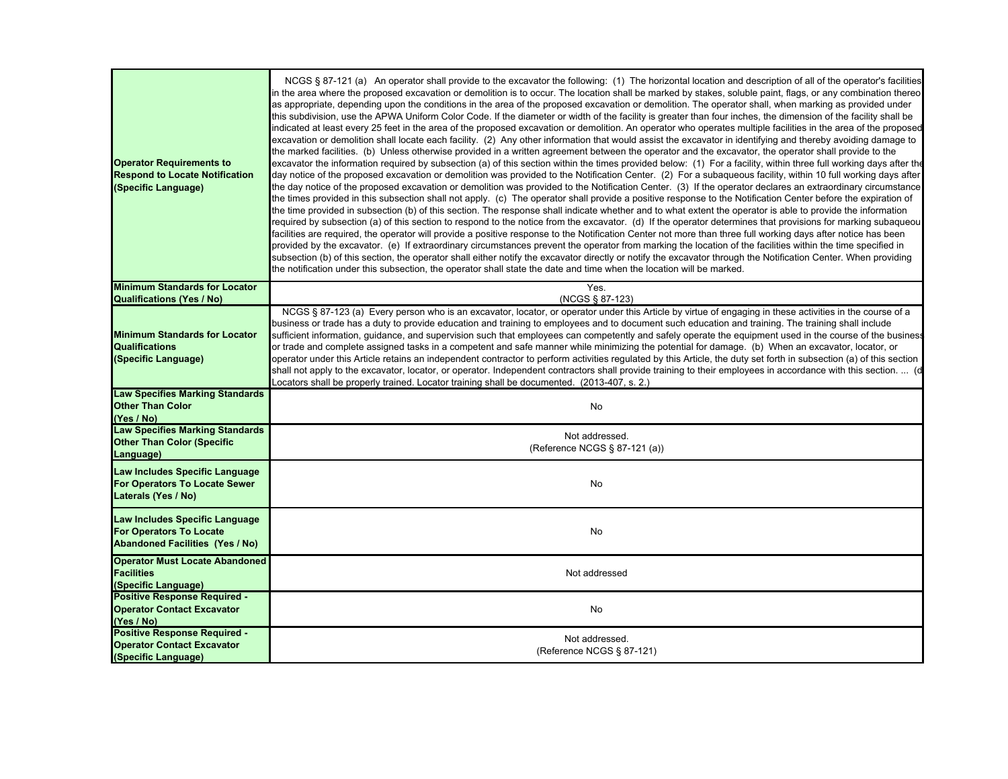| <b>Operator Requirements to</b><br><b>Respond to Locate Notification</b><br>(Specific Language)                          | NCGS § 87-121 (a) An operator shall provide to the excavator the following: (1) The horizontal location and description of all of the operator's facilities<br>in the area where the proposed excavation or demolition is to occur. The location shall be marked by stakes, soluble paint, flags, or any combination thereo<br>as appropriate, depending upon the conditions in the area of the proposed excavation or demolition. The operator shall, when marking as provided under<br>this subdivision, use the APWA Uniform Color Code. If the diameter or width of the facility is greater than four inches, the dimension of the facility shall be<br>indicated at least every 25 feet in the area of the proposed excavation or demolition. An operator who operates multiple facilities in the area of the proposed<br>excavation or demolition shall locate each facility. (2) Any other information that would assist the excavator in identifying and thereby avoiding damage to<br>the marked facilities. (b) Unless otherwise provided in a written agreement between the operator and the excavator, the operator shall provide to the<br>excavator the information required by subsection (a) of this section within the times provided below: (1) For a facility, within three full working days after the<br>day notice of the proposed excavation or demolition was provided to the Notification Center. (2) For a subaqueous facility, within 10 full working days after<br>the day notice of the proposed excavation or demolition was provided to the Notification Center. (3) If the operator declares an extraordinary circumstance<br>the times provided in this subsection shall not apply. (c) The operator shall provide a positive response to the Notification Center before the expiration of<br>the time provided in subsection (b) of this section. The response shall indicate whether and to what extent the operator is able to provide the information<br>required by subsection (a) of this section to respond to the notice from the excavator. (d) If the operator determines that provisions for marking subaqueou<br>facilities are required, the operator will provide a positive response to the Notification Center not more than three full working days after notice has been<br>provided by the excavator. (e) If extraordinary circumstances prevent the operator from marking the location of the facilities within the time specified in<br>subsection (b) of this section, the operator shall either notify the excavator directly or notify the excavator through the Notification Center. When providing<br>the notification under this subsection, the operator shall state the date and time when the location will be marked. |
|--------------------------------------------------------------------------------------------------------------------------|---------------------------------------------------------------------------------------------------------------------------------------------------------------------------------------------------------------------------------------------------------------------------------------------------------------------------------------------------------------------------------------------------------------------------------------------------------------------------------------------------------------------------------------------------------------------------------------------------------------------------------------------------------------------------------------------------------------------------------------------------------------------------------------------------------------------------------------------------------------------------------------------------------------------------------------------------------------------------------------------------------------------------------------------------------------------------------------------------------------------------------------------------------------------------------------------------------------------------------------------------------------------------------------------------------------------------------------------------------------------------------------------------------------------------------------------------------------------------------------------------------------------------------------------------------------------------------------------------------------------------------------------------------------------------------------------------------------------------------------------------------------------------------------------------------------------------------------------------------------------------------------------------------------------------------------------------------------------------------------------------------------------------------------------------------------------------------------------------------------------------------------------------------------------------------------------------------------------------------------------------------------------------------------------------------------------------------------------------------------------------------------------------------------------------------------------------------------------------------------------------------------------------------------------------------------------------------------------------------------------------------------------------------------------------------------------------------------------------------------------------------------------------------------|
| <b>Minimum Standards for Locator</b>                                                                                     | Yes.<br>(NCGS § 87-123)                                                                                                                                                                                                                                                                                                                                                                                                                                                                                                                                                                                                                                                                                                                                                                                                                                                                                                                                                                                                                                                                                                                                                                                                                                                                                                                                                                                                                                                                                                                                                                                                                                                                                                                                                                                                                                                                                                                                                                                                                                                                                                                                                                                                                                                                                                                                                                                                                                                                                                                                                                                                                                                                                                                                                               |
| <b>Qualifications (Yes / No)</b><br><b>Minimum Standards for Locator</b><br><b>Qualifications</b><br>(Specific Language) | NCGS § 87-123 (a) Every person who is an excavator, locator, or operator under this Article by virtue of engaging in these activities in the course of a<br>business or trade has a duty to provide education and training to employees and to document such education and training. The training shall include<br>sufficient information, guidance, and supervision such that employees can competently and safely operate the equipment used in the course of the business<br>or trade and complete assigned tasks in a competent and safe manner while minimizing the potential for damage. (b) When an excavator, locator, or<br>operator under this Article retains an independent contractor to perform activities regulated by this Article, the duty set forth in subsection (a) of this section<br>shall not apply to the excavator, locator, or operator. Independent contractors shall provide training to their employees in accordance with this section.  (d<br>Locators shall be properly trained. Locator training shall be documented. (2013-407, s. 2.)                                                                                                                                                                                                                                                                                                                                                                                                                                                                                                                                                                                                                                                                                                                                                                                                                                                                                                                                                                                                                                                                                                                                                                                                                                                                                                                                                                                                                                                                                                                                                                                                                                                                                                             |
| <b>Law Specifies Marking Standards</b><br><b>Other Than Color</b><br>(Yes / No)                                          | No                                                                                                                                                                                                                                                                                                                                                                                                                                                                                                                                                                                                                                                                                                                                                                                                                                                                                                                                                                                                                                                                                                                                                                                                                                                                                                                                                                                                                                                                                                                                                                                                                                                                                                                                                                                                                                                                                                                                                                                                                                                                                                                                                                                                                                                                                                                                                                                                                                                                                                                                                                                                                                                                                                                                                                                    |
| <b>Law Specifies Marking Standards</b><br><b>Other Than Color (Specific</b><br>Language)                                 | Not addressed.<br>(Reference NCGS § 87-121 (a))                                                                                                                                                                                                                                                                                                                                                                                                                                                                                                                                                                                                                                                                                                                                                                                                                                                                                                                                                                                                                                                                                                                                                                                                                                                                                                                                                                                                                                                                                                                                                                                                                                                                                                                                                                                                                                                                                                                                                                                                                                                                                                                                                                                                                                                                                                                                                                                                                                                                                                                                                                                                                                                                                                                                       |
| Law Includes Specific Language<br><b>For Operators To Locate Sewer</b><br>Laterals (Yes / No)                            | No                                                                                                                                                                                                                                                                                                                                                                                                                                                                                                                                                                                                                                                                                                                                                                                                                                                                                                                                                                                                                                                                                                                                                                                                                                                                                                                                                                                                                                                                                                                                                                                                                                                                                                                                                                                                                                                                                                                                                                                                                                                                                                                                                                                                                                                                                                                                                                                                                                                                                                                                                                                                                                                                                                                                                                                    |
| Law Includes Specific Language<br><b>For Operators To Locate</b><br><b>Abandoned Facilities (Yes / No)</b>               | No                                                                                                                                                                                                                                                                                                                                                                                                                                                                                                                                                                                                                                                                                                                                                                                                                                                                                                                                                                                                                                                                                                                                                                                                                                                                                                                                                                                                                                                                                                                                                                                                                                                                                                                                                                                                                                                                                                                                                                                                                                                                                                                                                                                                                                                                                                                                                                                                                                                                                                                                                                                                                                                                                                                                                                                    |
| <b>Operator Must Locate Abandoned</b><br><b>Facilities</b><br>(Specific Language)                                        | Not addressed                                                                                                                                                                                                                                                                                                                                                                                                                                                                                                                                                                                                                                                                                                                                                                                                                                                                                                                                                                                                                                                                                                                                                                                                                                                                                                                                                                                                                                                                                                                                                                                                                                                                                                                                                                                                                                                                                                                                                                                                                                                                                                                                                                                                                                                                                                                                                                                                                                                                                                                                                                                                                                                                                                                                                                         |
| <b>Positive Response Required -</b><br><b>Operator Contact Excavator</b><br>(Yes / No)                                   | No                                                                                                                                                                                                                                                                                                                                                                                                                                                                                                                                                                                                                                                                                                                                                                                                                                                                                                                                                                                                                                                                                                                                                                                                                                                                                                                                                                                                                                                                                                                                                                                                                                                                                                                                                                                                                                                                                                                                                                                                                                                                                                                                                                                                                                                                                                                                                                                                                                                                                                                                                                                                                                                                                                                                                                                    |
| <b>Positive Response Required -</b><br><b>Operator Contact Excavator</b><br>(Specific Language)                          | Not addressed.<br>(Reference NCGS § 87-121)                                                                                                                                                                                                                                                                                                                                                                                                                                                                                                                                                                                                                                                                                                                                                                                                                                                                                                                                                                                                                                                                                                                                                                                                                                                                                                                                                                                                                                                                                                                                                                                                                                                                                                                                                                                                                                                                                                                                                                                                                                                                                                                                                                                                                                                                                                                                                                                                                                                                                                                                                                                                                                                                                                                                           |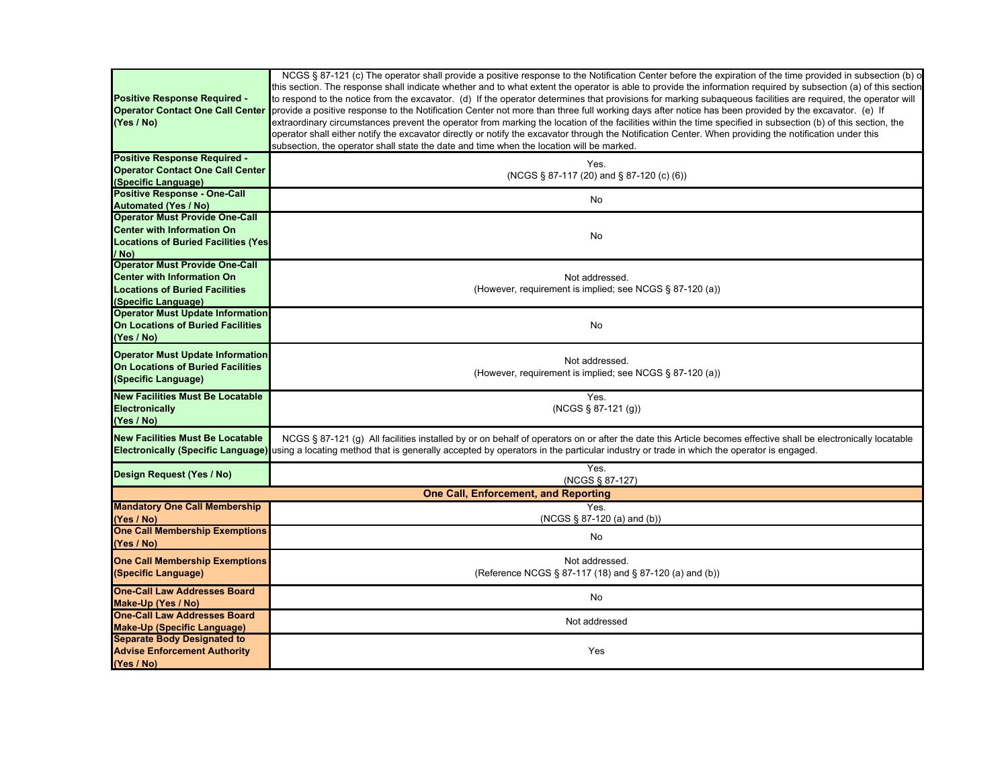| <b>Positive Response Required -</b><br><b>Operator Contact One Call Center</b><br>(Yes / No)                                               | NCGS § 87-121 (c) The operator shall provide a positive response to the Notification Center before the expiration of the time provided in subsection (b) o<br>this section. The response shall indicate whether and to what extent the operator is able to provide the information required by subsection (a) of this section<br>to respond to the notice from the excavator. (d) If the operator determines that provisions for marking subaqueous facilities are required, the operator will<br>provide a positive response to the Notification Center not more than three full working days after notice has been provided by the excavator. (e) If<br>extraordinary circumstances prevent the operator from marking the location of the facilities within the time specified in subsection (b) of this section, the<br>operator shall either notify the excavator directly or notify the excavator through the Notification Center. When providing the notification under this<br>subsection, the operator shall state the date and time when the location will be marked. |
|--------------------------------------------------------------------------------------------------------------------------------------------|--------------------------------------------------------------------------------------------------------------------------------------------------------------------------------------------------------------------------------------------------------------------------------------------------------------------------------------------------------------------------------------------------------------------------------------------------------------------------------------------------------------------------------------------------------------------------------------------------------------------------------------------------------------------------------------------------------------------------------------------------------------------------------------------------------------------------------------------------------------------------------------------------------------------------------------------------------------------------------------------------------------------------------------------------------------------------------|
| <b>Positive Response Required -</b>                                                                                                        | Yes.                                                                                                                                                                                                                                                                                                                                                                                                                                                                                                                                                                                                                                                                                                                                                                                                                                                                                                                                                                                                                                                                           |
| <b>Operator Contact One Call Center</b><br>(Specific Language)                                                                             | (NCGS § 87-117 (20) and § 87-120 (c) (6))                                                                                                                                                                                                                                                                                                                                                                                                                                                                                                                                                                                                                                                                                                                                                                                                                                                                                                                                                                                                                                      |
| <b>Positive Response - One-Call</b>                                                                                                        |                                                                                                                                                                                                                                                                                                                                                                                                                                                                                                                                                                                                                                                                                                                                                                                                                                                                                                                                                                                                                                                                                |
| <b>Automated (Yes / No)</b>                                                                                                                | No                                                                                                                                                                                                                                                                                                                                                                                                                                                                                                                                                                                                                                                                                                                                                                                                                                                                                                                                                                                                                                                                             |
| <b>Operator Must Provide One-Call</b>                                                                                                      |                                                                                                                                                                                                                                                                                                                                                                                                                                                                                                                                                                                                                                                                                                                                                                                                                                                                                                                                                                                                                                                                                |
| <b>Center with Information On</b><br><b>Locations of Buried Facilities (Yes)</b>                                                           | No                                                                                                                                                                                                                                                                                                                                                                                                                                                                                                                                                                                                                                                                                                                                                                                                                                                                                                                                                                                                                                                                             |
| / No)                                                                                                                                      |                                                                                                                                                                                                                                                                                                                                                                                                                                                                                                                                                                                                                                                                                                                                                                                                                                                                                                                                                                                                                                                                                |
| <b>Operator Must Provide One-Call</b><br><b>Center with Information On</b><br><b>Locations of Buried Facilities</b><br>(Specific Language) | Not addressed.<br>(However, requirement is implied; see NCGS § 87-120 (a))                                                                                                                                                                                                                                                                                                                                                                                                                                                                                                                                                                                                                                                                                                                                                                                                                                                                                                                                                                                                     |
| <b>Operator Must Update Information</b><br><b>On Locations of Buried Facilities</b><br>(Yes / No)                                          | No                                                                                                                                                                                                                                                                                                                                                                                                                                                                                                                                                                                                                                                                                                                                                                                                                                                                                                                                                                                                                                                                             |
| <b>Operator Must Update Information</b><br>On Locations of Buried Facilities<br>(Specific Language)                                        | Not addressed.<br>(However, requirement is implied; see NCGS § 87-120 (a))                                                                                                                                                                                                                                                                                                                                                                                                                                                                                                                                                                                                                                                                                                                                                                                                                                                                                                                                                                                                     |
| <b>New Facilities Must Be Locatable</b><br><b>Electronically</b><br>(Yes / No)                                                             | Yes.<br>(NCGS § 87-121 (g))                                                                                                                                                                                                                                                                                                                                                                                                                                                                                                                                                                                                                                                                                                                                                                                                                                                                                                                                                                                                                                                    |
| <b>New Facilities Must Be Locatable</b><br><b>Electronically (Specific Language)</b>                                                       | NCGS § 87-121 (g) All facilities installed by or on behalf of operators on or after the date this Article becomes effective shall be electronically locatable<br>using a locating method that is generally accepted by operators in the particular industry or trade in which the operator is engaged.                                                                                                                                                                                                                                                                                                                                                                                                                                                                                                                                                                                                                                                                                                                                                                         |
| Design Request (Yes / No)                                                                                                                  | Yes.<br>(NCGS § 87-127)                                                                                                                                                                                                                                                                                                                                                                                                                                                                                                                                                                                                                                                                                                                                                                                                                                                                                                                                                                                                                                                        |
|                                                                                                                                            | <b>One Call, Enforcement, and Reporting</b>                                                                                                                                                                                                                                                                                                                                                                                                                                                                                                                                                                                                                                                                                                                                                                                                                                                                                                                                                                                                                                    |
| <b>Mandatory One Call Membership</b><br>(Yes / No)                                                                                         | Yes.<br>(NCGS § 87-120 (a) and (b))                                                                                                                                                                                                                                                                                                                                                                                                                                                                                                                                                                                                                                                                                                                                                                                                                                                                                                                                                                                                                                            |
| <b>One Call Membership Exemptions</b><br>(Yes / No)                                                                                        | No                                                                                                                                                                                                                                                                                                                                                                                                                                                                                                                                                                                                                                                                                                                                                                                                                                                                                                                                                                                                                                                                             |
| <b>One Call Membership Exemptions</b><br>(Specific Language)                                                                               | Not addressed.<br>(Reference NCGS § 87-117 (18) and § 87-120 (a) and (b))                                                                                                                                                                                                                                                                                                                                                                                                                                                                                                                                                                                                                                                                                                                                                                                                                                                                                                                                                                                                      |
| <b>One-Call Law Addresses Board</b><br>Make-Up (Yes / No)                                                                                  | No                                                                                                                                                                                                                                                                                                                                                                                                                                                                                                                                                                                                                                                                                                                                                                                                                                                                                                                                                                                                                                                                             |
| <b>One-Call Law Addresses Board</b><br><b>Make-Up (Specific Language)</b>                                                                  | Not addressed                                                                                                                                                                                                                                                                                                                                                                                                                                                                                                                                                                                                                                                                                                                                                                                                                                                                                                                                                                                                                                                                  |
| <b>Separate Body Designated to</b><br><b>Advise Enforcement Authority</b><br>(Yes / No)                                                    | Yes                                                                                                                                                                                                                                                                                                                                                                                                                                                                                                                                                                                                                                                                                                                                                                                                                                                                                                                                                                                                                                                                            |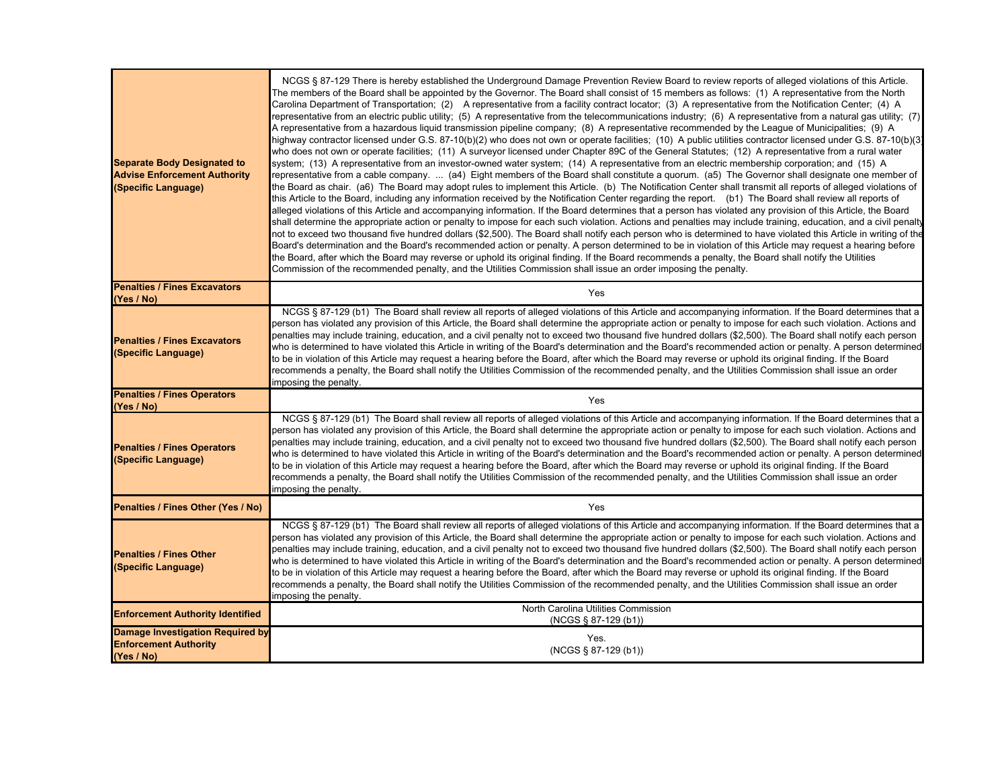| <b>Separate Body Designated to</b><br><b>Advise Enforcement Authority</b><br>(Specific Language) | NCGS § 87-129 There is hereby established the Underground Damage Prevention Review Board to review reports of alleged violations of this Article.<br>The members of the Board shall be appointed by the Governor. The Board shall consist of 15 members as follows: (1) A representative from the North<br>Carolina Department of Transportation; (2) A representative from a facility contract locator; (3) A representative from the Notification Center; (4) A<br>representative from an electric public utility; (5) A representative from the telecommunications industry; (6) A representative from a natural gas utility; (7)<br>A representative from a hazardous liquid transmission pipeline company; (8) A representative recommended by the League of Municipalities; (9) A<br>highway contractor licensed under G.S. 87-10(b)(2) who does not own or operate facilities;  (10)  A public utilities contractor licensed under G.S. 87-10(b)(3)<br>who does not own or operate facilities; (11) A surveyor licensed under Chapter 89C of the General Statutes; (12) A representative from a rural water<br>system; (13) A representative from an investor-owned water system; (14) A representative from an electric membership corporation; and (15) A<br>representative from a cable company. … (a4) Eight members of the Board shall constitute a quorum. (a5) The Governor shall designate one member of<br>the Board as chair. (a6) The Board may adopt rules to implement this Article. (b) The Notification Center shall transmit all reports of alleged violations of<br>this Article to the Board, including any information received by the Notification Center regarding the report. (b1) The Board shall review all reports of<br>alleged violations of this Article and accompanying information. If the Board determines that a person has violated any provision of this Article, the Board<br>shall determine the appropriate action or penalty to impose for each such violation. Actions and penalties may include training, education, and a civil penalty<br>not to exceed two thousand five hundred dollars (\$2,500). The Board shall notify each person who is determined to have violated this Article in writing of the<br>Board's determination and the Board's recommended action or penalty. A person determined to be in violation of this Article may request a hearing before<br>the Board, after which the Board may reverse or uphold its original finding. If the Board recommends a penalty, the Board shall notify the Utilities<br>Commission of the recommended penalty, and the Utilities Commission shall issue an order imposing the penalty. |
|--------------------------------------------------------------------------------------------------|---------------------------------------------------------------------------------------------------------------------------------------------------------------------------------------------------------------------------------------------------------------------------------------------------------------------------------------------------------------------------------------------------------------------------------------------------------------------------------------------------------------------------------------------------------------------------------------------------------------------------------------------------------------------------------------------------------------------------------------------------------------------------------------------------------------------------------------------------------------------------------------------------------------------------------------------------------------------------------------------------------------------------------------------------------------------------------------------------------------------------------------------------------------------------------------------------------------------------------------------------------------------------------------------------------------------------------------------------------------------------------------------------------------------------------------------------------------------------------------------------------------------------------------------------------------------------------------------------------------------------------------------------------------------------------------------------------------------------------------------------------------------------------------------------------------------------------------------------------------------------------------------------------------------------------------------------------------------------------------------------------------------------------------------------------------------------------------------------------------------------------------------------------------------------------------------------------------------------------------------------------------------------------------------------------------------------------------------------------------------------------------------------------------------------------------------------------------------------------------------------------------------------------------------------------------------------------------------------------------------------------------------------------------------------------------------------|
| <b>Penalties / Fines Excavators</b><br>(Yes / No)                                                | Yes                                                                                                                                                                                                                                                                                                                                                                                                                                                                                                                                                                                                                                                                                                                                                                                                                                                                                                                                                                                                                                                                                                                                                                                                                                                                                                                                                                                                                                                                                                                                                                                                                                                                                                                                                                                                                                                                                                                                                                                                                                                                                                                                                                                                                                                                                                                                                                                                                                                                                                                                                                                                                                                                                               |
| <b>Penalties / Fines Excavators</b><br>(Specific Language)                                       | NCGS § 87-129 (b1) The Board shall review all reports of alleged violations of this Article and accompanying information. If the Board determines that a<br>person has violated any provision of this Article, the Board shall determine the appropriate action or penalty to impose for each such violation. Actions and<br>penalties may include training, education, and a civil penalty not to exceed two thousand five hundred dollars (\$2,500). The Board shall notify each person<br>who is determined to have violated this Article in writing of the Board's determination and the Board's recommended action or penalty. A person determined<br>to be in violation of this Article may request a hearing before the Board, after which the Board may reverse or uphold its original finding. If the Board<br>recommends a penalty, the Board shall notify the Utilities Commission of the recommended penalty, and the Utilities Commission shall issue an order<br>imposing the penalty.                                                                                                                                                                                                                                                                                                                                                                                                                                                                                                                                                                                                                                                                                                                                                                                                                                                                                                                                                                                                                                                                                                                                                                                                                                                                                                                                                                                                                                                                                                                                                                                                                                                                                              |
| <b>Penalties / Fines Operators</b><br>(Yes / No)                                                 | Yes                                                                                                                                                                                                                                                                                                                                                                                                                                                                                                                                                                                                                                                                                                                                                                                                                                                                                                                                                                                                                                                                                                                                                                                                                                                                                                                                                                                                                                                                                                                                                                                                                                                                                                                                                                                                                                                                                                                                                                                                                                                                                                                                                                                                                                                                                                                                                                                                                                                                                                                                                                                                                                                                                               |
| <b>Penalties / Fines Operators</b><br>(Specific Language)                                        | NCGS § 87-129 (b1) The Board shall review all reports of alleged violations of this Article and accompanying information. If the Board determines that a<br>person has violated any provision of this Article, the Board shall determine the appropriate action or penalty to impose for each such violation. Actions and<br>penalties may include training, education, and a civil penalty not to exceed two thousand five hundred dollars (\$2,500). The Board shall notify each person<br>who is determined to have violated this Article in writing of the Board's determination and the Board's recommended action or penalty. A person determined<br>to be in violation of this Article may request a hearing before the Board, after which the Board may reverse or uphold its original finding. If the Board<br>recommends a penalty, the Board shall notify the Utilities Commission of the recommended penalty, and the Utilities Commission shall issue an order<br>imposing the penalty.                                                                                                                                                                                                                                                                                                                                                                                                                                                                                                                                                                                                                                                                                                                                                                                                                                                                                                                                                                                                                                                                                                                                                                                                                                                                                                                                                                                                                                                                                                                                                                                                                                                                                              |
| Penalties / Fines Other (Yes / No)                                                               | Yes                                                                                                                                                                                                                                                                                                                                                                                                                                                                                                                                                                                                                                                                                                                                                                                                                                                                                                                                                                                                                                                                                                                                                                                                                                                                                                                                                                                                                                                                                                                                                                                                                                                                                                                                                                                                                                                                                                                                                                                                                                                                                                                                                                                                                                                                                                                                                                                                                                                                                                                                                                                                                                                                                               |
| <b>Penalties / Fines Other</b><br>(Specific Language)                                            | NCGS § 87-129 (b1) The Board shall review all reports of alleged violations of this Article and accompanying information. If the Board determines that a<br>person has violated any provision of this Article, the Board shall determine the appropriate action or penalty to impose for each such violation. Actions and<br>penalties may include training, education, and a civil penalty not to exceed two thousand five hundred dollars (\$2,500). The Board shall notify each person<br>who is determined to have violated this Article in writing of the Board's determination and the Board's recommended action or penalty. A person determined<br>to be in violation of this Article may request a hearing before the Board, after which the Board may reverse or uphold its original finding. If the Board<br>recommends a penalty, the Board shall notify the Utilities Commission of the recommended penalty, and the Utilities Commission shall issue an order<br>imposing the penalty.                                                                                                                                                                                                                                                                                                                                                                                                                                                                                                                                                                                                                                                                                                                                                                                                                                                                                                                                                                                                                                                                                                                                                                                                                                                                                                                                                                                                                                                                                                                                                                                                                                                                                              |
| <b>Enforcement Authority Identified</b>                                                          | North Carolina Utilities Commission<br>(NCGS § 87-129 (b1))                                                                                                                                                                                                                                                                                                                                                                                                                                                                                                                                                                                                                                                                                                                                                                                                                                                                                                                                                                                                                                                                                                                                                                                                                                                                                                                                                                                                                                                                                                                                                                                                                                                                                                                                                                                                                                                                                                                                                                                                                                                                                                                                                                                                                                                                                                                                                                                                                                                                                                                                                                                                                                       |
| <b>Damage Investigation Required by</b><br><b>Enforcement Authority</b><br>(Yes / No)            | Yes.<br>(NCGS § 87-129 (b1))                                                                                                                                                                                                                                                                                                                                                                                                                                                                                                                                                                                                                                                                                                                                                                                                                                                                                                                                                                                                                                                                                                                                                                                                                                                                                                                                                                                                                                                                                                                                                                                                                                                                                                                                                                                                                                                                                                                                                                                                                                                                                                                                                                                                                                                                                                                                                                                                                                                                                                                                                                                                                                                                      |